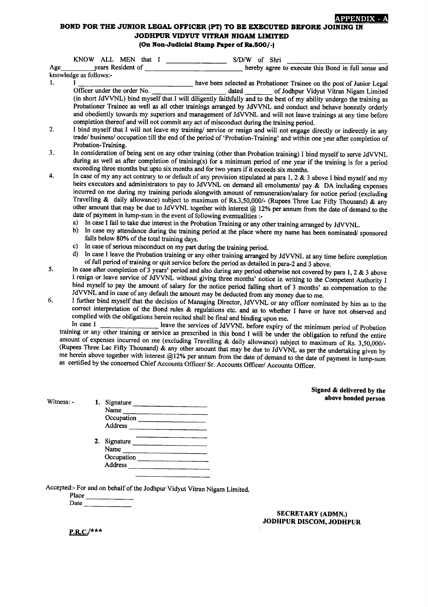## **APPENDIX - A**

## BOND FOR THE JUNIOR LEGAL OFFICER (PT) TO BE EXECUTED BEFORE JOINING IN JODHPUR VIDYUT VITRAN NIGAM LIMITED (On Non-Judicial Stamp Paper of Rs.500/-)

|     | KNOW ALL MEN that I<br>S/D/W of Shri                                                                                                                                                                                        |  |  |  |  |  |  |
|-----|-----------------------------------------------------------------------------------------------------------------------------------------------------------------------------------------------------------------------------|--|--|--|--|--|--|
| Age | years Resident of<br>hereby agree to execute this Bond in full sense and                                                                                                                                                    |  |  |  |  |  |  |
|     | knowledge as follows:-                                                                                                                                                                                                      |  |  |  |  |  |  |
| 1.  | have been selected as Probationer Trainee on the post of Junior Legal                                                                                                                                                       |  |  |  |  |  |  |
|     | Officer under the order No.<br>of Jodhpur Vidyut Vitran Nigam Limited                                                                                                                                                       |  |  |  |  |  |  |
|     | (in short JdVVNL) bind myself that I will diligently faithfully and to the best of my ability undergo the training as                                                                                                       |  |  |  |  |  |  |
|     | Probationer Trainee as well as all other trainings arranged by JdVVNL and conduct and behave honestly orderly                                                                                                               |  |  |  |  |  |  |
|     | and obediently towards my superiors and management of JdVVNL and will not leave trainings at any time before                                                                                                                |  |  |  |  |  |  |
|     | completion thereof and will not commit any act of misconduct during the training period.                                                                                                                                    |  |  |  |  |  |  |
| 2.  | I bind myself that I will not leave my training/ service or resign and will not engage directly or indirectly in any                                                                                                        |  |  |  |  |  |  |
|     | trade/ business/ occupation till the end of the period of 'Probation-Training' and within one year after completion of                                                                                                      |  |  |  |  |  |  |
|     | Probation-Training.                                                                                                                                                                                                         |  |  |  |  |  |  |
| 3.  | In consideration of being sent on any other training (other than Probation training) I bind myself to serve JdVVNL                                                                                                          |  |  |  |  |  |  |
|     | during as well as after completion of training(s) for a minimum period of one year if the training is for a period                                                                                                          |  |  |  |  |  |  |
| 4.  | exceeding three months but upto six months and for two years if it exceeds six months.                                                                                                                                      |  |  |  |  |  |  |
|     | In case of my any act contrary to or default of any provision stipulated at para 1, 2 & 3 above I bind myself and my                                                                                                        |  |  |  |  |  |  |
|     | heirs executors and administrators to pay to JdVVNL on demand all emoluments/ pay & DA including expenses<br>incurred on me during my training periods alongwith amount of remuneration/salary for notice period (excluding |  |  |  |  |  |  |
|     | Travelling & daily allowance) subject to maximum of Rs.3,50,000/- (Rupees Three Lac Fifty Thousand) & any                                                                                                                   |  |  |  |  |  |  |
|     | other amount that may be due to JdVVNL together with interest @ 12% per annum from the date of demand to the                                                                                                                |  |  |  |  |  |  |
|     | date of payment in lump-sum in the event of following eventualities :-                                                                                                                                                      |  |  |  |  |  |  |
|     | a)<br>In case I fail to take due interest in the Probation Training or any other training arranged by JdVVNL.                                                                                                               |  |  |  |  |  |  |
|     | b)<br>In case my attendance during the training period at the place where my name has been nominated/ sponsored                                                                                                             |  |  |  |  |  |  |
|     | falls below 80% of the total training days.                                                                                                                                                                                 |  |  |  |  |  |  |
|     | In case of serious misconduct on my part during the training period.<br>c)                                                                                                                                                  |  |  |  |  |  |  |
|     | d)<br>In case I leave the Probation training or any other training arranged by JdVVNL at any time before completion                                                                                                         |  |  |  |  |  |  |
|     | of full period of training or quit service before the period as detailed in para-2 and 3 above.                                                                                                                             |  |  |  |  |  |  |
| 5.  | In case after completion of 3 years' period and also during any period otherwise not covered by para 1, 2 $\&$ 3 above                                                                                                      |  |  |  |  |  |  |
|     | I resign or leave service of JdVVNL without giving three months' notice in writing to the Competent Authority I                                                                                                             |  |  |  |  |  |  |
|     | bind myself to pay the amount of salary for the notice period falling short of 3 months' as compensation to the                                                                                                             |  |  |  |  |  |  |
|     | JdVVNL and in case of any default the amount may be deducted from any money due to me.                                                                                                                                      |  |  |  |  |  |  |
| 6.  | I further bind myself that the decision of Managing Director, JdVVNL or any officer nominated by him as to the                                                                                                              |  |  |  |  |  |  |
|     | correct interpretation of the Bond rules & regulations etc. and as to whether I have or have not observed and                                                                                                               |  |  |  |  |  |  |
|     | complied with the obligations herein recited shall be final and binding upon me.<br>In case I                                                                                                                               |  |  |  |  |  |  |
|     | leave the services of JdVVNL before expiry of the minimum period of Probation                                                                                                                                               |  |  |  |  |  |  |
|     | training or any other training or service as prescribed in this bond I will be under the obligation to refund the entire                                                                                                    |  |  |  |  |  |  |
|     | amount of expenses incurred on me (excluding Travelling & daily allowance) subject to maximum of Rs 3.50,000/-                                                                                                              |  |  |  |  |  |  |

different of expenses incurred on the (excluding Travelling & daily allowance) subject to maximum of Rs. 3,50,000/-<br>(Rupees Three Lac Fifty Thousand) & any other amount that may be due to JdVVNL as per the undertaking giv as certified by the concerned Chief Accounts Officer/ Sr. Accounts Officer/ Accounts Officer.

> Signed & delivered by the above bonded person

Accepted:- For and on behalf of the Jodhpur vidyut vitran Nigam Limited.

1. Signature

Occupation Address 2. Signature

Occupation

Name

Name

Address

Place Date \_\_\_\_

Witness: -

SECRETARY (ADMN.) JODHPUR DISCOM, JODHPUR

 $P.R.C./*$ \*\*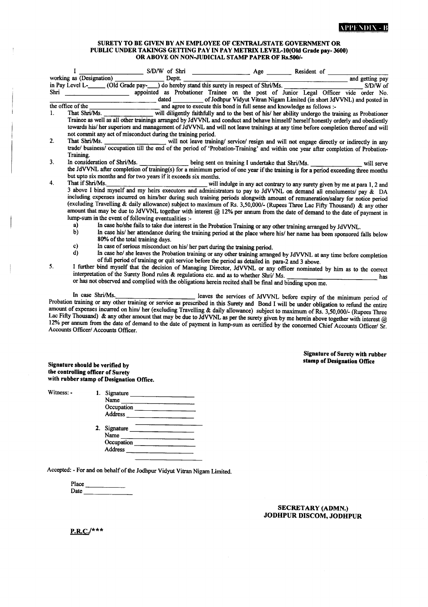## SURETY TO BE GIVEN BY AN EMPLOYEE OF CENTRAL/STATE GOVERNMENT OR PUBLIC UNDER TAKINGS GETTING PAY IN PAY METRIX LEVEL-10(Old Grade pay-3600) OR ABOVE ON NON-JUDICIAL STAMP PAPER OF Rs.500/-

|         |                                                                                                                                                                                                                           | S/D/W of Shri                                                                                                                             |                                                                                                    | Age | Resident of |  |                 |          |
|---------|---------------------------------------------------------------------------------------------------------------------------------------------------------------------------------------------------------------------------|-------------------------------------------------------------------------------------------------------------------------------------------|----------------------------------------------------------------------------------------------------|-----|-------------|--|-----------------|----------|
|         | working as (Designation)                                                                                                                                                                                                  | Deptt.                                                                                                                                    |                                                                                                    |     |             |  | and getting pay |          |
|         |                                                                                                                                                                                                                           | in Pay Level L-_______ (Old Grade pay-____) do hereby stand this surety in respect of Shri/Ms.                                            |                                                                                                    |     |             |  |                 | S/D/W of |
| Shri    |                                                                                                                                                                                                                           | appointed as Probationer Trainee on the post of Junior Legal Officer vide order No.                                                       |                                                                                                    |     |             |  |                 |          |
|         |                                                                                                                                                                                                                           | dated                                                                                                                                     | of Jodhpur Vidyut Vitran Nigam Limited (in short JdVVNL) and posted in                             |     |             |  |                 |          |
|         | the office of the                                                                                                                                                                                                         |                                                                                                                                           | and agree to execute this bond in full sense and knowledge as follows :-                           |     |             |  |                 |          |
| $1_{-}$ | That Shri/Ms.                                                                                                                                                                                                             |                                                                                                                                           | will diligently faithfully and to the best of his/ her ability undergo the training as Probationer |     |             |  |                 |          |
|         | Trainee as well as all other trainings arranged by JdVVNL and conduct and behave himself/ herself honestly orderly and obediently                                                                                         |                                                                                                                                           |                                                                                                    |     |             |  |                 |          |
|         | towards his/ her superiors and management of JdVVNL and will not leave trainings at any time before completion thereof and will                                                                                           |                                                                                                                                           |                                                                                                    |     |             |  |                 |          |
|         | not commit any act of misconduct during the training period.                                                                                                                                                              |                                                                                                                                           |                                                                                                    |     |             |  |                 |          |
| 2.      |                                                                                                                                                                                                                           | That Shri/Ms. ________________________ will not leave training/ service/ resign and will not engage directly or indirectly in any         |                                                                                                    |     |             |  |                 |          |
|         | trade/ business/ occupation till the end of the period of 'Probation-Training' and within one year after completion of Probation-                                                                                         |                                                                                                                                           |                                                                                                    |     |             |  |                 |          |
|         | Training.                                                                                                                                                                                                                 |                                                                                                                                           |                                                                                                    |     |             |  |                 |          |
| 3.      | In consideration of Shri/Ms.                                                                                                                                                                                              |                                                                                                                                           |                                                                                                    |     |             |  |                 |          |
|         | the JdVVNL after completion of training(s) for a minimum period of one year if the training is for a period exceeding three months                                                                                        |                                                                                                                                           |                                                                                                    |     |             |  |                 |          |
|         |                                                                                                                                                                                                                           | but upto six months and for two years if it exceeds six months.                                                                           |                                                                                                    |     |             |  |                 |          |
| 4.      | That if Shri/Ms.                                                                                                                                                                                                          |                                                                                                                                           | will indulge in any act contrary to any surety given by me at para 1, 2 and                        |     |             |  |                 |          |
|         | 3 above I bind myself and my heirs executors and administrators to pay to JdVVNL on demand all emoluments/ pay & DA                                                                                                       |                                                                                                                                           |                                                                                                    |     |             |  |                 |          |
|         | including expenses incurred on him/her during such training periods alongwith amount of remuneration/salary for notice period                                                                                             |                                                                                                                                           |                                                                                                    |     |             |  |                 |          |
|         | (excluding Travelling & daily allowance) subject to maximum of Rs. 3,50,000/- (Rupees Three Lac Fifty Thousand) & any other                                                                                               |                                                                                                                                           |                                                                                                    |     |             |  |                 |          |
|         | amount that may be due to JdVVNL together with interest @ 12% per annum from the date of demand to the date of payment in                                                                                                 |                                                                                                                                           |                                                                                                    |     |             |  |                 |          |
|         |                                                                                                                                                                                                                           | lump-sum in the event of following eventualities :-                                                                                       |                                                                                                    |     |             |  |                 |          |
|         | a)                                                                                                                                                                                                                        | In case he/she fails to take due interest in the Probation Training or any other training arranged by JdVVNL.                             |                                                                                                    |     |             |  |                 |          |
|         | b)                                                                                                                                                                                                                        | In case his/ her attendance during the training period at the place where his/ her name has been sponsored falls below                    |                                                                                                    |     |             |  |                 |          |
|         |                                                                                                                                                                                                                           | 80% of the total training days.                                                                                                           |                                                                                                    |     |             |  |                 |          |
|         | c)                                                                                                                                                                                                                        | In case of serious misconduct on his/ her part during the training period.                                                                |                                                                                                    |     |             |  |                 |          |
|         | d)<br>In case he/ she leaves the Probation training or any other training arranged by JdVVNL at any time before completion                                                                                                |                                                                                                                                           |                                                                                                    |     |             |  |                 |          |
| 5.      | of full period of training or quit service before the period as detailed in para-2 and 3 above.<br>I further bind myself that the decision of Managing Director, JdVVNL or any officer nominated by him as to the correct |                                                                                                                                           |                                                                                                    |     |             |  |                 |          |
|         |                                                                                                                                                                                                                           |                                                                                                                                           |                                                                                                    |     |             |  |                 |          |
|         | interpretation of the Surety Bond rules & regulations etc. and as to whether Shri/ Ms.<br>has                                                                                                                             |                                                                                                                                           |                                                                                                    |     |             |  |                 |          |
|         | or has not observed and complied with the obligations herein recited shall be final and binding upon me.                                                                                                                  |                                                                                                                                           |                                                                                                    |     |             |  |                 |          |
|         | In case Shri/Ms.                                                                                                                                                                                                          |                                                                                                                                           |                                                                                                    |     |             |  |                 |          |
|         |                                                                                                                                                                                                                           | Probation training or any other training or service as prescribed in this Surety and Bond I will be under obligation to refund the entire | leaves the services of JdVVNL before expiry of the minimum period of                               |     |             |  |                 |          |
|         |                                                                                                                                                                                                                           | amount of expenses incurred on him/ her (excluding Travelling & daily allowance) subject to maximum of Rs. 3,50,000/- (Rupees Three       |                                                                                                    |     |             |  |                 |          |
|         |                                                                                                                                                                                                                           | Lac Fifty Thousand) & any other amount that may be due to JdVVNL as per the surety given by me herein above together with interest $@$    |                                                                                                    |     |             |  |                 |          |
|         |                                                                                                                                                                                                                           | 12% per annum from the date of demand to the date of payment in lump-sum as certified by the concerned Chief Accounts Officer/ Sr.        |                                                                                                    |     |             |  |                 |          |
|         | Accounts Officer/Accounts Officer                                                                                                                                                                                         |                                                                                                                                           |                                                                                                    |     |             |  |                 |          |

Accounts Officer/ Accounts Officer.

**Signature of Surety with rubber** stamp of Designation Office

Signature should be verified by<br>the controlling officer of Surety with rubber stamp of Designation Office.

Witness: -

1. Signature Name Occupation 2. Signature  $\frac{\phantom{1}}{1}$ Name  $Occupation$ <sub>\_\_</sub> Address

Accepted: - For and on behalf of the Jodhpur Vidyut Vitran Nigam Limited.

Place 

> **SECRETARY (ADMN.)** JODHPUR DISCOM, JODHPUR

 $P.R.C.$ /\*\*\*